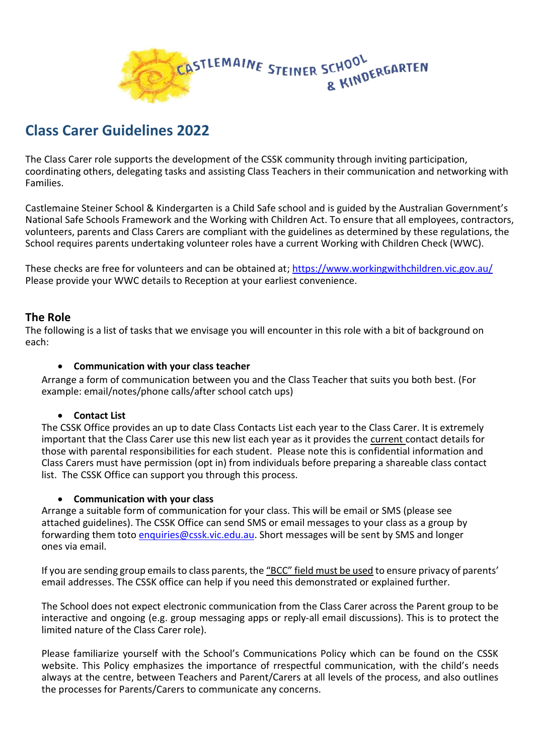

# **Class Carer Guidelines 2022**

The Class Carer role supports the development of the CSSK community through inviting participation, coordinating others, delegating tasks and assisting Class Teachers in their communication and networking with Families.

Castlemaine Steiner School & Kindergarten is a Child Safe school and is guided by the Australian Government's National Safe Schools Framework and the Working with Children Act. To ensure that all employees, contractors, volunteers, parents and Class Carers are compliant with the guidelines as determined by these regulations, the School requires parents undertaking volunteer roles have a current Working with Children Check (WWC).

These checks are free for volunteers and can be obtained at; <https://www.workingwithchildren.vic.gov.au/> Please provide your WWC details to Reception at your earliest convenience.

# **The Role**

The following is a list of tasks that we envisage you will encounter in this role with a bit of background on each:

## • **Communication with your class teacher**

Arrange a form of communication between you and the Class Teacher that suits you both best. (For example: email/notes/phone calls/after school catch ups)

#### • **Contact List**

The CSSK Office provides an up to date Class Contacts List each year to the Class Carer. It is extremely important that the Class Carer use this new list each year as it provides the current contact details for those with parental responsibilities for each student. Please note this is confidential information and Class Carers must have permission (opt in) from individuals before preparing a shareable class contact list. The CSSK Office can support you through this process.

#### • **Communication with your class**

Arrange a suitable form of communication for your class. This will be email or SMS (please see attached guidelines). The CSSK Office can send SMS or email messages to your class as a group by forwarding them toto [enquiries@cssk.vic.edu.au.](mailto:enquiries@cssk.vic.edu.au) Short messages will be sent by SMS and longer ones via email.

If you are sending group emails to class parents, the "BCC" field must be used to ensure privacy of parents' email addresses. The CSSK office can help if you need this demonstrated or explained further.

The School does not expect electronic communication from the Class Carer across the Parent group to be interactive and ongoing (e.g. group messaging apps or reply-all email discussions). This is to protect the limited nature of the Class Carer role).

Please familiarize yourself with the School's Communications Policy which can be found on the CSSK website. This Policy emphasizes the importance of rrespectful communication, with the child's needs always at the centre, between Teachers and Parent/Carers at all levels of the process, and also outlines the processes for Parents/Carers to communicate any concerns.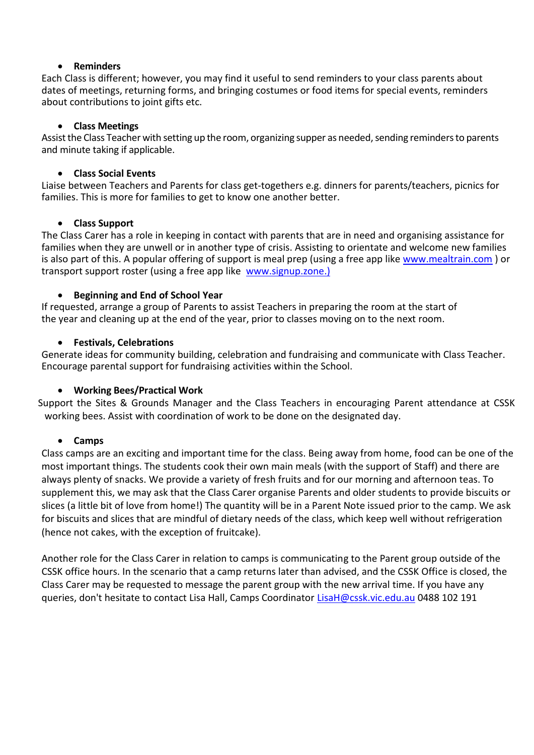#### • **Reminders**

Each Class is different; however, you may find it useful to send reminders to your class parents about dates of meetings, returning forms, and bringing costumes or food items for special events, reminders about contributions to joint gifts etc.

## • **Class Meetings**

Assist the Class Teacher with setting up the room, organizing supper as needed, sending reminders to parents and minute taking if applicable.

## • **Class Social Events**

Liaise between Teachers and Parents for class get-togethers e.g. dinners for parents/teachers, picnics for families. This is more for families to get to know one another better.

## • **Class Support**

The Class Carer has a role in keeping in contact with parents that are in need and organising assistance for families when they are unwell or in another type of crisis. Assisting to orientate and welcome new families is also part of this. A popular offering of support is meal prep (using a free app like [www.mealtrain.com](http://www.mealtrain.com/) ) or transport support roster (using a free app like [www.signup.zone.](http://www.signup.zone/))

## • **Beginning and End of School Year**

If requested, arrange a group of Parents to assist Teachers in preparing the room at the start of the year and cleaning up at the end of the year, prior to classes moving on to the next room.

## • **Festivals, Celebrations**

Generate ideas for community building, celebration and fundraising and communicate with Class Teacher. Encourage parental support for fundraising activities within the School.

# • **Working Bees/Practical Work**

Support the Sites & Grounds Manager and the Class Teachers in encouraging Parent attendance at CSSK working bees. Assist with coordination of work to be done on the designated day.

#### • **Camps**

Class camps are an exciting and important time for the class. Being away from home, food can be one of the most important things. The students cook their own main meals (with the support of Staff) and there are always plenty of snacks. We provide a variety of fresh fruits and for our morning and afternoon teas. To supplement this, we may ask that the Class Carer organise Parents and older students to provide biscuits or slices (a little bit of love from home!) The quantity will be in a Parent Note issued prior to the camp. We ask for biscuits and slices that are mindful of dietary needs of the class, which keep well without refrigeration (hence not cakes, with the exception of fruitcake).

Another role for the Class Carer in relation to camps is communicating to the Parent group outside of the CSSK office hours. In the scenario that a camp returns later than advised, and the CSSK Office is closed, the Class Carer may be requested to message the parent group with the new arrival time. If you have any queries, don't hesitate to contact Lisa Hall, Camps Coordinator [LisaH@cssk.vic.edu.au](mailto:LisaH@cssk.vic.edu.au) 0488 102 191